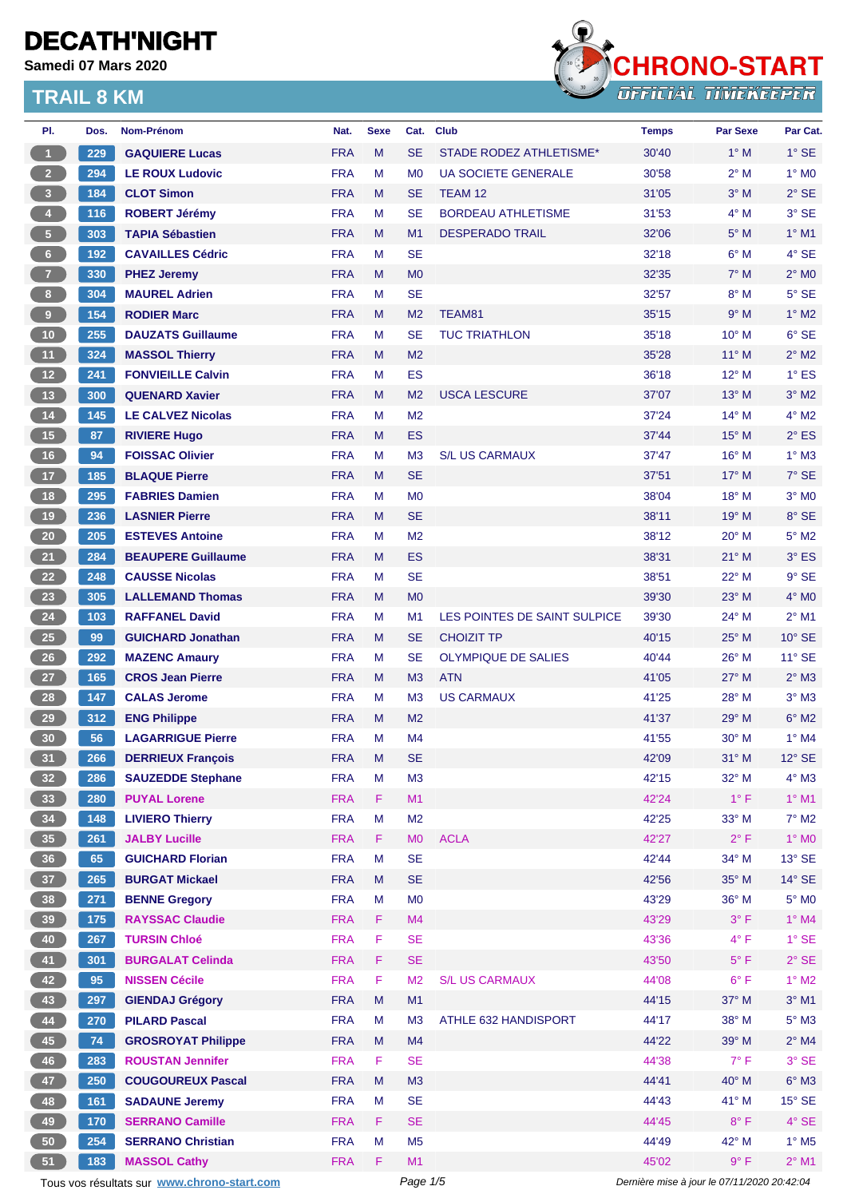**Samedi 07 Mars 2020**



| PI.               | Dos.  | Nom-Prénom                                  | Nat.                     | <b>Sexe</b> | Cat.                             | <b>Club</b>                  | <b>Temps</b>                                | <b>Par Sexe</b> | Par Cat.                 |
|-------------------|-------|---------------------------------------------|--------------------------|-------------|----------------------------------|------------------------------|---------------------------------------------|-----------------|--------------------------|
| -1                | 229   | <b>GAQUIERE Lucas</b>                       | <b>FRA</b>               | M           | <b>SE</b>                        | STADE RODEZ ATHLETISME*      | 30'40                                       | $1^\circ$ M     | $1^\circ$ SE             |
| 2 <sup>2</sup>    | 294   | <b>LE ROUX Ludovic</b>                      | <b>FRA</b>               | м           | M <sub>0</sub>                   | <b>UA SOCIETE GENERALE</b>   | 30'58                                       | $2^{\circ}$ M   | $1^\circ$ MO             |
| $3 -$             | 184   | <b>CLOT Simon</b>                           | <b>FRA</b>               | M           | <b>SE</b>                        | TEAM <sub>12</sub>           | 31'05                                       | $3°$ M          | $2°$ SE                  |
| 4 <sup>1</sup>    | 116   | <b>ROBERT Jérémy</b>                        | <b>FRA</b>               | м           | <b>SE</b>                        | <b>BORDEAU ATHLETISME</b>    | 31'53                                       | $4^\circ$ M     | $3^\circ$ SE             |
| $\sqrt{5}$        | 303   | <b>TAPIA Sébastien</b>                      | <b>FRA</b>               | M           | M1                               | <b>DESPERADO TRAIL</b>       | 32'06                                       | $5^\circ$ M     | $1^\circ$ M1             |
| $6 -$             | 192   | <b>CAVAILLES Cédric</b>                     | <b>FRA</b>               | м           | <b>SE</b>                        |                              | 32'18                                       | $6^\circ$ M     | 4° SE                    |
| 7 <sup>7</sup>    | 330   | <b>PHEZ Jeremy</b>                          | <b>FRA</b>               | M           | M <sub>0</sub>                   |                              | 32'35                                       | $7^\circ$ M     | $2^{\circ}$ MO           |
| 8 <sup>2</sup>    | 304   | <b>MAUREL Adrien</b>                        | <b>FRA</b>               | м           | <b>SE</b>                        |                              | 32'57                                       | $8^\circ$ M     | $5^\circ$ SE             |
| 9 <sup>°</sup>    | 154   | <b>RODIER Marc</b>                          | <b>FRA</b>               | M           | M <sub>2</sub>                   | TEAM81                       | 35'15                                       | 9° M            | $1^\circ$ M2             |
| 10 <sub>1</sub>   | 255   | <b>DAUZATS Guillaume</b>                    | <b>FRA</b>               | м           | <b>SE</b>                        | <b>TUC TRIATHLON</b>         | 35'18                                       | 10° M           | $6°$ SE                  |
| 11                | 324   | <b>MASSOL Thierry</b>                       | <b>FRA</b>               | M           | M <sub>2</sub>                   |                              | 35'28                                       | $11^{\circ}$ M  | $2^{\circ}$ M2           |
| 12 <sup>7</sup>   | 241   | <b>FONVIEILLE Calvin</b>                    | <b>FRA</b>               | М           | <b>ES</b>                        |                              | 36'18                                       | $12^{\circ}$ M  | $1^\circ$ ES             |
| 13 <sup>°</sup>   | 300   | <b>QUENARD Xavier</b>                       | <b>FRA</b>               | M           | M <sub>2</sub>                   | <b>USCA LESCURE</b>          | 37'07                                       | $13^{\circ}$ M  | $3^\circ$ M2             |
| $14$              | 145   | <b>LE CALVEZ Nicolas</b>                    | <b>FRA</b>               | M           | M <sub>2</sub>                   |                              | 37'24                                       | 14° M           | 4° M2                    |
| 15                | 87    | <b>RIVIERE Hugo</b>                         | <b>FRA</b>               | M           | <b>ES</b>                        |                              | 37'44                                       | $15^{\circ}$ M  | $2^{\circ}$ ES           |
| 16                | 94    | <b>FOISSAC Olivier</b>                      | <b>FRA</b>               | м           | M <sub>3</sub>                   | <b>S/L US CARMAUX</b>        | 37'47                                       | 16° M           | $1^\circ$ M3             |
| 17 <sup>2</sup>   | 185   | <b>BLAQUE Pierre</b>                        | <b>FRA</b>               | M           | <b>SE</b>                        |                              | 37'51                                       | $17^\circ$ M    | 7° SE                    |
| 18                | 295   | <b>FABRIES Damien</b>                       | <b>FRA</b>               | M           | M <sub>0</sub>                   |                              | 38'04                                       | 18° M           | $3°$ MO                  |
| 19                | 236   | <b>LASNIER Pierre</b>                       | <b>FRA</b>               | M           | <b>SE</b>                        |                              | 38'11                                       | $19°$ M         | 8° SE                    |
| 20 <sub>2</sub>   | 205   | <b>ESTEVES Antoine</b>                      | <b>FRA</b>               | м           | M <sub>2</sub>                   |                              | 38'12                                       | 20° M           | $5^\circ$ M2             |
| 21                | 284   | <b>BEAUPERE Guillaume</b>                   | <b>FRA</b>               | M           | ES                               |                              | 38'31                                       | $21^{\circ}$ M  | 3° ES                    |
| 22                | 248   | <b>CAUSSE Nicolas</b>                       | <b>FRA</b>               | M           | <b>SE</b>                        |                              | 38'51                                       | $22^{\circ}$ M  | 9° SE                    |
| 23                | 305   | <b>LALLEMAND Thomas</b>                     | <b>FRA</b>               | M           | M <sub>0</sub>                   |                              | 39'30                                       | $23^\circ$ M    | $4^\circ$ MO             |
| 24                | $103$ | <b>RAFFANEL David</b>                       | <b>FRA</b>               | м           | M <sub>1</sub>                   | LES POINTES DE SAINT SULPICE | 39'30                                       | 24° M           | $2^{\circ}$ M1           |
| 25 <sub>2</sub>   | 99    | <b>GUICHARD Jonathan</b>                    | <b>FRA</b>               | M           | <b>SE</b>                        | <b>CHOIZIT TP</b>            | 40'15                                       | $25^{\circ}$ M  | $10^{\circ}$ SE          |
| 26                | 292   | <b>MAZENC Amaury</b>                        | <b>FRA</b>               | м           | <b>SE</b>                        | <b>OLYMPIQUE DE SALIES</b>   | 40'44                                       | $26^{\circ}$ M  | $11^{\circ}$ SE          |
| $27 \overline{ }$ | 165   | <b>CROS Jean Pierre</b>                     | <b>FRA</b>               | M           | M <sub>3</sub>                   | <b>ATN</b>                   | 41'05                                       | $27^\circ$ M    | $2^{\circ}$ M3           |
| 28                | 147   | <b>CALAS Jerome</b>                         | <b>FRA</b>               | м           | M <sub>3</sub>                   | <b>US CARMAUX</b>            | 41'25                                       | 28° M           | $3°$ M $3$               |
|                   |       |                                             |                          |             |                                  |                              |                                             |                 |                          |
| 29                | 312   | <b>ENG Philippe</b>                         | <b>FRA</b><br><b>FRA</b> | M<br>м      | M <sub>2</sub><br>M <sub>4</sub> |                              | 41'37                                       | $29^\circ$ M    | $6^\circ$ M2<br>1° M4    |
| 30                | 56    | <b>LAGARRIGUE Pierre</b>                    |                          |             |                                  |                              | 41'55                                       | $30^\circ$ M    |                          |
| 31)               | 266   | <b>DERRIEUX François</b>                    | <b>FRA</b>               | M           | <b>SE</b>                        |                              | 42'09                                       | $31^\circ$ M    | $12^{\circ}$ SE          |
| 32 <sub>2</sub>   | 286   | <b>SAUZEDDE Stephane</b>                    | <b>FRA</b>               | M           | M3                               |                              | 42'15                                       | $32^\circ$ M    | $4^\circ$ M3             |
| 33 <sup>°</sup>   | 280   | <b>PUYAL Lorene</b>                         | <b>FRA</b>               | F.          | M1                               |                              | 42'24                                       | $1^{\circ}$ F   | $1^\circ$ M1             |
| 34                | 148   | <b>LIVIERO Thierry</b>                      | <b>FRA</b>               | M           | M <sub>2</sub>                   |                              | 42'25                                       | $33^\circ$ M    | $7^\circ$ M2             |
| 35 <sub>1</sub>   | 261   | <b>JALBY Lucille</b>                        | <b>FRA</b>               | F.          | <b>MO</b>                        | <b>ACLA</b>                  | 42'27                                       | $2^{\circ}$ F   | $1^\circ$ MO             |
| 36 <sup>°</sup>   | 65    | <b>GUICHARD Florian</b>                     | <b>FRA</b>               | M           | <b>SE</b>                        |                              | 42'44                                       | 34° M           | $13^\circ$ SE            |
| 37 <sup>°</sup>   | 265   | <b>BURGAT Mickael</b>                       | <b>FRA</b>               | M           | <b>SE</b>                        |                              | 42'56                                       | 35° M           | $14^\circ$ SE            |
| 38                | 271   | <b>BENNE Gregory</b>                        | <b>FRA</b>               | M           | M <sub>0</sub>                   |                              | 43'29                                       | 36° M           | $5^\circ$ MO             |
| 39 <sup>°</sup>   | 175   | <b>RAYSSAC Claudie</b>                      | <b>FRA</b>               | F.          | M4                               |                              | 43'29                                       | $3^{\circ}$ F   | $1°$ M4                  |
| 40                | 267   | <b>TURSIN Chloé</b>                         | <b>FRA</b>               | F           | <b>SE</b>                        |                              | 43'36                                       | $4^{\circ}$ F   | $1^\circ$ SE             |
| 41                | 301   | <b>BURGALAT Celinda</b>                     | <b>FRA</b>               | F.          | <b>SE</b>                        |                              | 43'50                                       | $5^{\circ}$ F   | $2^{\circ}$ SE           |
| 42 <sup>7</sup>   | 95    | <b>NISSEN Cécile</b>                        | <b>FRA</b>               | F           | M <sub>2</sub>                   | <b>S/L US CARMAUX</b>        | 44'08                                       | $6^{\circ}$ F   | $1^\circ$ M2             |
| 43                | 297   | <b>GIENDAJ Grégory</b>                      | <b>FRA</b>               | M           | M1                               |                              | 44'15                                       | $37^\circ$ M    | $3^\circ$ M1             |
| 44                | 270   | <b>PILARD Pascal</b>                        | <b>FRA</b>               | М           | M <sub>3</sub>                   | ATHLE 632 HANDISPORT         | 44'17                                       | 38° M           | $5^\circ$ M3             |
| 45                | 74    | <b>GROSROYAT Philippe</b>                   | <b>FRA</b>               | M           | M4                               |                              | 44'22                                       | 39° M           | $2^{\circ}$ M4           |
| 46                | 283   | <b>ROUSTAN Jennifer</b>                     | <b>FRA</b>               | F.          | <b>SE</b>                        |                              | 44'38                                       | $7^{\circ}$ F   | 3° SE                    |
| 47                | 250   | <b>COUGOUREUX Pascal</b>                    | <b>FRA</b>               | M           | M3                               |                              | 44'41                                       | 40° M           | $6^\circ$ M3             |
| 48                | 161   | <b>SADAUNE Jeremy</b>                       | <b>FRA</b>               | М           | <b>SE</b>                        |                              | 44'43                                       | 41° M           | $15^\circ$ SE            |
| 49                | 170   | <b>SERRANO Camille</b>                      | <b>FRA</b>               | F.          | <b>SE</b>                        |                              | 44'45                                       | $8^{\circ}$ F   | $4^\circ$ SE             |
| 50                | 254   | <b>SERRANO Christian</b>                    | <b>FRA</b>               | M           | M <sub>5</sub>                   |                              | 44'49                                       | 42° M           | $1^\circ$ M <sub>5</sub> |
| 51                | 183   | <b>MASSOL Cathy</b>                         | <b>FRA</b>               | F.          | M1                               |                              | 45'02                                       | 9° F            | $2^{\circ}$ M1           |
|                   |       | Tous vos résultats sur www.chrono-start.com |                          |             | Page 1/5                         |                              | Dernière mise à jour le 07/11/2020 20:42:04 |                 |                          |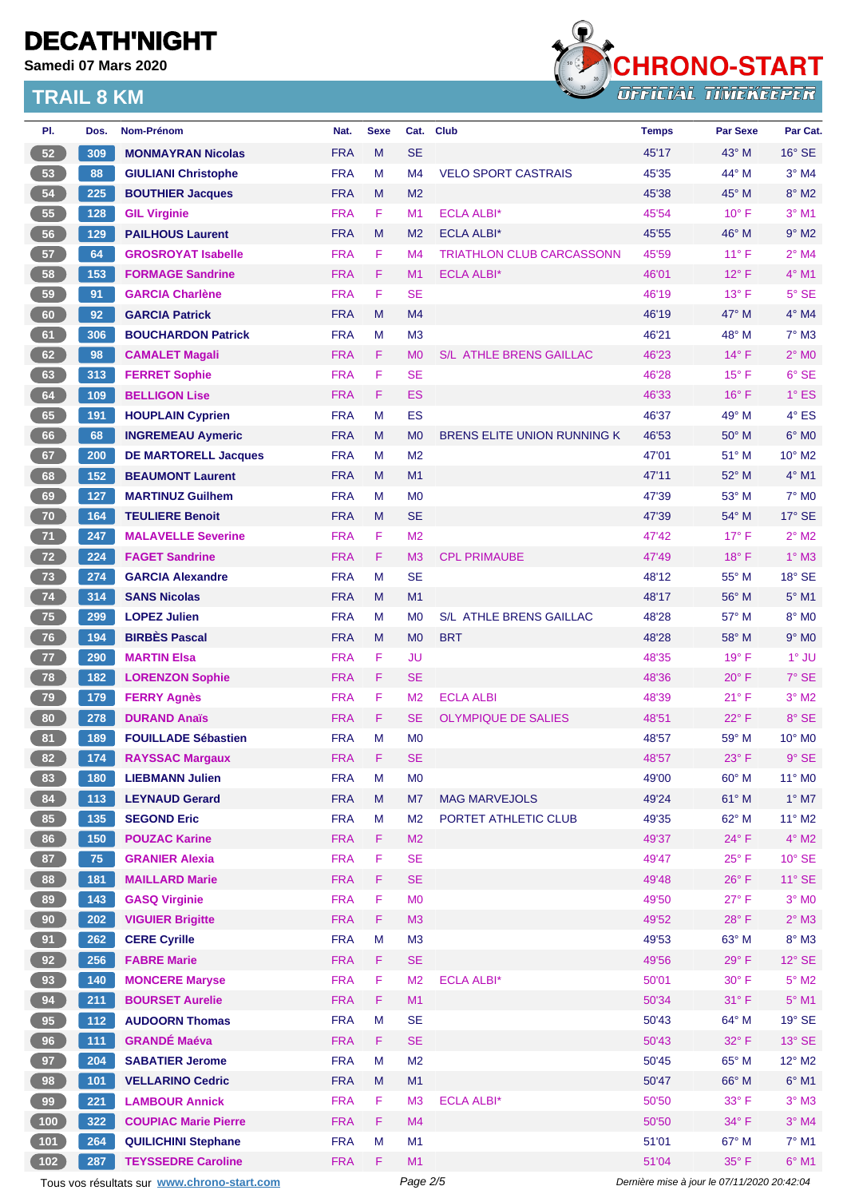**Samedi 07 Mars 2020**



| PI.    | Dos.          | Nom-Prénom                                  | Nat.       | <b>Sexe</b> | Cat.           | <b>Club</b>                        | <b>Temps</b>                                | Par Sexe       | Par Cat.                    |  |
|--------|---------------|---------------------------------------------|------------|-------------|----------------|------------------------------------|---------------------------------------------|----------------|-----------------------------|--|
| $52\,$ | 309           | <b>MONMAYRAN Nicolas</b>                    | <b>FRA</b> | M           | <b>SE</b>      |                                    | 45'17                                       | $43^\circ$ M   | $16^\circ$ SE               |  |
| 53     | 88            | <b>GIULIANI Christophe</b>                  | <b>FRA</b> | M           | M <sub>4</sub> | <b>VELO SPORT CASTRAIS</b>         | 45'35                                       | 44° M          | $3°$ M4                     |  |
| 54     | 225           | <b>BOUTHIER Jacques</b>                     | <b>FRA</b> | M           | M <sub>2</sub> |                                    | 45'38                                       | 45° M          | $8^\circ$ M2                |  |
| 55     | 128           | <b>GIL Virginie</b>                         | <b>FRA</b> | F           | M <sub>1</sub> | <b>ECLA ALBI*</b>                  | 45'54                                       | $10^{\circ}$ F | $3°$ M1                     |  |
| 56     | 129           | <b>PAILHOUS Laurent</b>                     | <b>FRA</b> | M           | M <sub>2</sub> | <b>ECLA ALBI*</b>                  | 45'55                                       | 46° M          | $9°$ M2                     |  |
| 57     | 64            | <b>GROSROYAT Isabelle</b>                   | <b>FRA</b> | F           | M <sub>4</sub> | <b>TRIATHLON CLUB CARCASSONN</b>   | 45'59                                       | $11^{\circ}$ F | $2^{\circ}$ M4              |  |
| 58     | 153           | <b>FORMAGE Sandrine</b>                     | <b>FRA</b> | F           | M1             | <b>ECLA ALBI*</b>                  | 46'01                                       | $12^{\circ}$ F | 4° M1                       |  |
| 59     | 91            | <b>GARCIA Charlène</b>                      | <b>FRA</b> | F           | <b>SE</b>      |                                    | 46'19                                       | $13^{\circ}$ F | 5° SE                       |  |
| 60     | 92            | <b>GARCIA Patrick</b>                       | <b>FRA</b> | M           | M4             |                                    | 46'19                                       | 47° M          | $4^\circ$ M4                |  |
| 61     | 306           | <b>BOUCHARDON Patrick</b>                   | <b>FRA</b> | М           | M <sub>3</sub> |                                    | 46'21                                       | 48° M          | $7^\circ$ M3                |  |
| 62     | 98            | <b>CAMALET Magali</b>                       | <b>FRA</b> | F           | M <sub>0</sub> | <b>S/L ATHLE BRENS GAILLAC</b>     | 46'23                                       | $14^{\circ}$ F | $2^{\circ}$ MO              |  |
| 63     | 313           | <b>FERRET Sophie</b>                        | <b>FRA</b> | F           | <b>SE</b>      |                                    | 46'28                                       | $15^{\circ}$ F | $6°$ SE                     |  |
| 64     | 109           | <b>BELLIGON Lise</b>                        | <b>FRA</b> | F           | <b>ES</b>      |                                    | 46'33                                       | $16^{\circ}$ F | $1^\circ$ ES                |  |
| 65     | 191           | <b>HOUPLAIN Cyprien</b>                     | <b>FRA</b> | M           | ES             |                                    | 46'37                                       | 49° M          | 4° ES                       |  |
| 66     | 68            | <b>INGREMEAU Aymeric</b>                    | <b>FRA</b> | M           | M <sub>0</sub> | <b>BRENS ELITE UNION RUNNING K</b> | 46'53                                       | $50^\circ$ M   | $6°$ MO                     |  |
| 67     | 200           | <b>DE MARTORELL Jacques</b>                 | <b>FRA</b> | М           | M <sub>2</sub> |                                    | 47'01                                       | 51° M          | $10^{\circ}$ M <sub>2</sub> |  |
| 68     | 152           | <b>BEAUMONT Laurent</b>                     | <b>FRA</b> | M           | M1             |                                    | 47'11                                       | 52° M          | $4^\circ$ M1                |  |
| 69     | 127           | <b>MARTINUZ Guilhem</b>                     | <b>FRA</b> | М           | M <sub>0</sub> |                                    | 47'39                                       | 53° M          | $7^\circ$ MO                |  |
| 70     | 164           | <b>TEULIERE Benoit</b>                      | <b>FRA</b> | M           | <b>SE</b>      |                                    | 47'39                                       | 54° M          | $17^\circ$ SE               |  |
| 71     | 247           | <b>MALAVELLE Severine</b>                   | <b>FRA</b> | F           | M <sub>2</sub> |                                    | 47'42                                       | $17^{\circ}$ F | $2^{\circ}$ M2              |  |
| 72     | 224           | <b>FAGET Sandrine</b>                       | <b>FRA</b> | F           | M <sub>3</sub> | <b>CPL PRIMAUBE</b>                | 47'49                                       | $18^{\circ}$ F | $1^\circ$ M3                |  |
| 73     | 274           | <b>GARCIA Alexandre</b>                     | <b>FRA</b> | M           | <b>SE</b>      |                                    | 48'12                                       | 55° M          | 18° SE                      |  |
| $74$   | 314           | <b>SANS Nicolas</b>                         | <b>FRA</b> | M           | M1             |                                    | 48'17                                       | 56° M          | $5^\circ$ M1                |  |
| 75     | 299           | <b>LOPEZ Julien</b>                         | <b>FRA</b> | М           | M <sub>0</sub> | S/L ATHLE BRENS GAILLAC            | 48'28                                       | 57° M          | 8° MO                       |  |
| 76     | 194           | <b>BIRBÈS Pascal</b>                        | <b>FRA</b> | M           | M <sub>0</sub> | <b>BRT</b>                         | 48'28                                       | 58° M          | $9°$ M <sub>0</sub>         |  |
| 77     | 290           | <b>MARTIN Elsa</b>                          | <b>FRA</b> | F           | JU             |                                    | 48'35                                       | $19^{\circ}$ F | 1° JU                       |  |
| 78     | 182           | <b>LORENZON Sophie</b>                      | <b>FRA</b> | F.          | <b>SE</b>      |                                    | 48'36                                       | $20^{\circ}$ F | 7° SE                       |  |
| 79     | 179           | <b>FERRY Agnès</b>                          | <b>FRA</b> | F           | M <sub>2</sub> | <b>ECLA ALBI</b>                   | 48'39                                       | 21° F          | $3°$ M2                     |  |
| 80     | 278           | <b>DURAND Anaïs</b>                         | <b>FRA</b> | F           | <b>SE</b>      | <b>OLYMPIQUE DE SALIES</b>         | 48'51                                       | 22° F          | 8° SE                       |  |
| 81     | 189           | <b>FOUILLADE Sébastien</b>                  | <b>FRA</b> | M           | M <sub>0</sub> |                                    | 48'57                                       | 59° M          | 10° M0                      |  |
| 82     | 174           | <b>RAYSSAC Margaux</b>                      | <b>FRA</b> | F.          | <b>SE</b>      |                                    | 48'57                                       | $23^{\circ}$ F | $9°$ SE                     |  |
| 83     | 180           | <b>LIEBMANN Julien</b>                      | <b>FRA</b> | M           | M <sub>0</sub> |                                    | 49'00                                       | 60° M          | 11° M0                      |  |
| 84     | 113           | <b>LEYNAUD Gerard</b>                       | <b>FRA</b> | M           | M7             | <b>MAG MARVEJOLS</b>               | 49'24                                       | 61° M          | $1^\circ$ M7                |  |
| 85     | $\boxed{135}$ | <b>SEGOND Eric</b>                          | <b>FRA</b> | M           | M <sub>2</sub> | PORTET ATHLETIC CLUB               | 49'35                                       | 62° M          | 11° M2                      |  |
| 86     | 150           | <b>POUZAC Karine</b>                        | <b>FRA</b> | F.          | M <sub>2</sub> |                                    | 49'37                                       | 24° F          | $4^\circ$ M2                |  |
| 87     | 75            | <b>GRANIER Alexia</b>                       | <b>FRA</b> | F           | <b>SE</b>      |                                    | 49'47                                       | $25^{\circ}$ F | $10^{\circ}$ SE             |  |
| 88     | 181           | <b>MAILLARD Marie</b>                       | <b>FRA</b> | F           | <b>SE</b>      |                                    | 49'48                                       | $26^{\circ}$ F | $11^{\circ}$ SE             |  |
| 89     | 143           | <b>GASQ Virginie</b>                        | <b>FRA</b> | F           | <b>MO</b>      |                                    | 49'50                                       | 27°F           | $3°$ MO                     |  |
| 90     | 202           | <b>VIGUIER Brigitte</b>                     | <b>FRA</b> | F           | M3             |                                    | 49'52                                       | 28°F           | $2^{\circ}$ M3              |  |
| 91     | 262           | <b>CERE Cyrille</b>                         | <b>FRA</b> | M           | M3             |                                    | 49'53                                       | 63° M          | 8° M3                       |  |
| 92     | 256           | <b>FABRE Marie</b>                          | <b>FRA</b> | F.          | <b>SE</b>      |                                    | 49'56                                       | 29° F          | $12^{\circ}$ SE             |  |
| 93     | 140           | <b>MONCERE Maryse</b>                       | <b>FRA</b> | F           | M <sub>2</sub> | <b>ECLA ALBI*</b>                  | 50'01                                       | 30° F          | $5^\circ$ M2                |  |
| 94     | 211           | <b>BOURSET Aurelie</b>                      | <b>FRA</b> | F           | M1             |                                    | 50'34                                       | 31° F          | $5^\circ$ M1                |  |
| 95     | $112$         | <b>AUDOORN Thomas</b>                       | <b>FRA</b> | M           | <b>SE</b>      |                                    | 50'43                                       | 64° M          | $19°$ SE                    |  |
| 96     | $111$         | <b>GRANDÉ Maéva</b>                         | <b>FRA</b> | F.          | <b>SE</b>      |                                    | 50'43                                       | 32° F          | $13^\circ$ SE               |  |
| 97     | 204           | <b>SABATIER Jerome</b>                      | <b>FRA</b> | М           | M <sub>2</sub> |                                    | 50'45                                       | 65° M          | 12° M2                      |  |
| 98     | 101           | <b>VELLARINO Cedric</b>                     | <b>FRA</b> | M           | M1             |                                    | 50'47                                       | 66° M          | $6^{\circ}$ M1              |  |
| 99     | 221           | <b>LAMBOUR Annick</b>                       | <b>FRA</b> | F           | M <sub>3</sub> | <b>ECLA ALBI*</b>                  | 50'50                                       | 33° F          | $3^\circ$ M3                |  |
| 100    | 322           | <b>COUPIAC Marie Pierre</b>                 | <b>FRA</b> | F.          | M <sub>4</sub> |                                    | 50'50                                       | 34° F          | $3°$ M4                     |  |
| $101$  | 264           | <b>QUILICHINI Stephane</b>                  | <b>FRA</b> | M           | M1             |                                    | 51'01                                       | 67° M          | $7°$ M1                     |  |
| 102    | 287           | <b>TEYSSEDRE Caroline</b>                   | <b>FRA</b> | F           | M1             |                                    | 51'04                                       | 35° F          | $6°$ M1                     |  |
|        |               | Tous vos résultats sur www.chrono-start.com |            |             | Page 2/5       |                                    | Dernière mise à jour le 07/11/2020 20:42:04 |                |                             |  |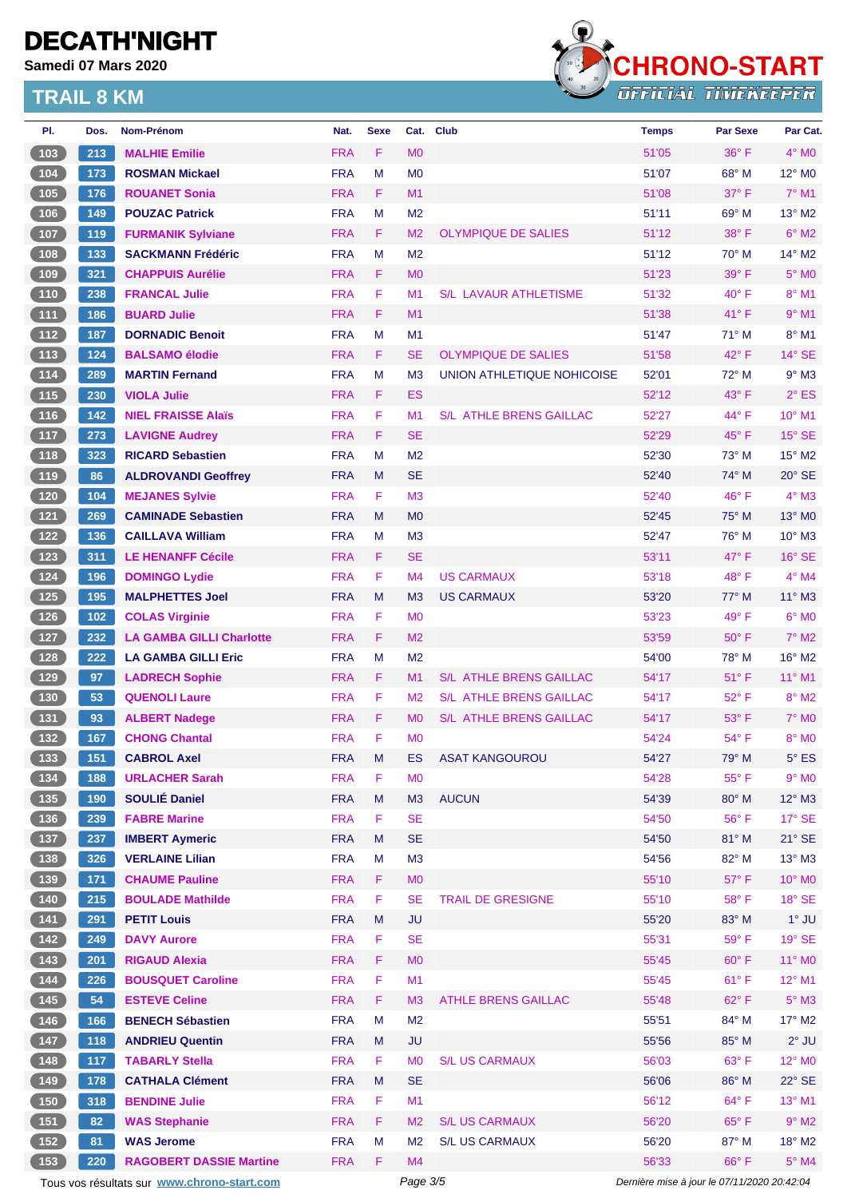**Samedi 07 Mars 2020**



| PI.                                                       | Dos.  | <b>Nom-Prénom</b>                           | Nat.       | <b>Sexe</b> | Cat.           | <b>Club</b>                    | <b>Temps</b>                                | <b>Par Sexe</b> | Par Cat.        |  |
|-----------------------------------------------------------|-------|---------------------------------------------|------------|-------------|----------------|--------------------------------|---------------------------------------------|-----------------|-----------------|--|
| 103                                                       | 213   | <b>MALHIE Emilie</b>                        | <b>FRA</b> | F           | M <sub>0</sub> |                                | 51'05                                       | $36^{\circ}$ F  | $4^\circ$ MO    |  |
| 104                                                       | 173   | <b>ROSMAN Mickael</b>                       | <b>FRA</b> | M           | M <sub>0</sub> |                                | 51'07                                       | $68^\circ$ M    | $12^{\circ}$ MO |  |
| 105                                                       | 176   | <b>ROUANET Sonia</b>                        | <b>FRA</b> | F.          | M1             |                                | 51'08                                       | 37° F           | $7°$ M1         |  |
| 106                                                       | 149   | <b>POUZAC Patrick</b>                       | <b>FRA</b> | M           | M <sub>2</sub> |                                | 51'11                                       | 69° M           | $13^{\circ}$ M2 |  |
| 107                                                       | 119   | <b>FURMANIK Sylviane</b>                    | <b>FRA</b> | F.          | M <sub>2</sub> | <b>OLYMPIQUE DE SALIES</b>     | 51'12                                       | 38° F           | $6^{\circ}$ M2  |  |
| 108                                                       | 133   | <b>SACKMANN Frédéric</b>                    | <b>FRA</b> | M           | M <sub>2</sub> |                                | 51'12                                       | $70^\circ$ M    | $14^{\circ}$ M2 |  |
| 109                                                       | 321   | <b>CHAPPUIS Aurélie</b>                     | <b>FRA</b> | F.          | M <sub>0</sub> |                                | 51'23                                       | 39° F           | $5^\circ$ MO    |  |
| $110$                                                     | 238   | <b>FRANCAL Julie</b>                        | <b>FRA</b> | F           | M <sub>1</sub> | <b>S/L LAVAUR ATHLETISME</b>   | 51'32                                       | $40^{\circ}$ F  | 8° M1           |  |
| $\boxed{111}$                                             | 186   | <b>BUARD Julie</b>                          | <b>FRA</b> | F.          | M1             |                                | 51'38                                       | 41°F            | $9°$ M1         |  |
| 112                                                       | 187   | <b>DORNADIC Benoit</b>                      | <b>FRA</b> | M           | M1             |                                | 51'47                                       | 71° M           | 8° M1           |  |
| 113                                                       | 124   | <b>BALSAMO élodie</b>                       | <b>FRA</b> | F.          | <b>SE</b>      | <b>OLYMPIQUE DE SALIES</b>     | 51'58                                       | $42^{\circ}$ F  | $14^\circ$ SE   |  |
| 114                                                       | 289   | <b>MARTIN Fernand</b>                       | <b>FRA</b> | М           | M <sub>3</sub> | UNION ATHLETIQUE NOHICOISE     | 52'01                                       | $72^{\circ}$ M  | $9°$ M3         |  |
| $\boxed{115}$                                             | 230   | <b>VIOLA Julie</b>                          | <b>FRA</b> | F.          | <b>ES</b>      |                                | 52'12                                       | 43° F           | $2^{\circ}$ ES  |  |
| 116                                                       | $142$ | <b>NIEL FRAISSE Alaïs</b>                   | <b>FRA</b> | F           | M1             | S/L ATHLE BRENS GAILLAC        | 52'27                                       | 44° F           | 10° M1          |  |
| 117                                                       | 273   | <b>LAVIGNE Audrey</b>                       | <b>FRA</b> | F.          | <b>SE</b>      |                                | 52'29                                       | $45^{\circ}$ F  | $15^\circ$ SE   |  |
| $\boxed{118}$                                             | 323   | <b>RICARD Sebastien</b>                     | <b>FRA</b> | M           | M <sub>2</sub> |                                | 52'30                                       | 73° M           | 15° M2          |  |
| 119                                                       | 86    | <b>ALDROVANDI Geoffrey</b>                  | <b>FRA</b> | M           | <b>SE</b>      |                                | 52'40                                       | $74^\circ$ M    | $20^\circ$ SE   |  |
| 120                                                       | 104   | <b>MEJANES Sylvie</b>                       | <b>FRA</b> | F           | M <sub>3</sub> |                                | 52'40                                       | 46°F            | $4^\circ$ M3    |  |
| $121$                                                     | 269   | <b>CAMINADE Sebastien</b>                   | <b>FRA</b> | M           | M <sub>0</sub> |                                | 52'45                                       | 75° M           | $13^\circ$ MO   |  |
| 122                                                       | 136   | <b>CAILLAVA William</b>                     | <b>FRA</b> | М           | M3             |                                | 52'47                                       | $76^{\circ}$ M  | $10^{\circ}$ M3 |  |
| 123                                                       | 311   | <b>LE HENANFF Cécile</b>                    | <b>FRA</b> | F.          | <b>SE</b>      |                                | 53'11                                       | 47° F           | $16°$ SE        |  |
| 124                                                       | 196   | <b>DOMINGO Lydie</b>                        | <b>FRA</b> | F           | M <sub>4</sub> | <b>US CARMAUX</b>              | 53'18                                       | 48°F            | $4^\circ$ M4    |  |
| 125                                                       | 195   | <b>MALPHETTES Joel</b>                      | <b>FRA</b> | M           | M <sub>3</sub> | <b>US CARMAUX</b>              | 53'20                                       | $77^\circ$ M    | 11° M3          |  |
| 126                                                       | $102$ | <b>COLAS Virginie</b>                       | <b>FRA</b> | F.          | M <sub>0</sub> |                                | 53'23                                       | 49° F           | $6^\circ$ MO    |  |
| $127$                                                     | 232   | <b>LA GAMBA GILLI Charlotte</b>             | <b>FRA</b> | F.          | M <sub>2</sub> |                                | 53'59                                       | $50^\circ$ F    | $7^\circ$ M2    |  |
| 128                                                       | 222   | <b>LA GAMBA GILLI Eric</b>                  | <b>FRA</b> | M           | M <sub>2</sub> |                                | 54'00                                       | 78° M           | $16^{\circ}$ M2 |  |
| $129$                                                     | 97    | <b>LADRECH Sophie</b>                       | <b>FRA</b> | F.          | M1             | <b>S/L ATHLE BRENS GAILLAC</b> | 54'17                                       | $51^{\circ}$ F  | 11° M1          |  |
| 130                                                       | 53    | <b>QUENOLI Laure</b>                        | <b>FRA</b> | F           | M <sub>2</sub> | S/L ATHLE BRENS GAILLAC        | 54'17                                       | $52^{\circ}$ F  | $8^\circ$ M2    |  |
| 131                                                       | 93    | <b>ALBERT Nadege</b>                        | <b>FRA</b> | F.          | M <sub>0</sub> | S/L ATHLE BRENS GAILLAC        | 54'17                                       | 53° F           | <b>7° MO</b>    |  |
| 132                                                       | 167   | <b>CHONG Chantal</b>                        | <b>FRA</b> | F           | M <sub>0</sub> |                                | 54'24                                       | $54^{\circ}$ F  | $8^\circ$ MO    |  |
| $\begin{array}{ c c }\n\hline\n\textbf{133}\n\end{array}$ | 151   | <b>CABROL Axel</b>                          | <b>FRA</b> | ${\sf M}$   | ES             | <b>ASAT KANGOUROU</b>          | 54'27                                       | 79° M           | $5^{\circ}$ ES  |  |
| 134                                                       | 188   | <b>URLACHER Sarah</b>                       | <b>FRA</b> | F           | M <sub>0</sub> |                                | 54'28                                       | 55° F           | $9°$ MO         |  |
| (135)                                                     | 190   | <b>SOULIÉ Daniel</b>                        | <b>FRA</b> | M           | M3             | <b>AUCUN</b>                   | 54'39                                       | 80° M           | $12^{\circ}$ M3 |  |
| $136$                                                     | 239   | <b>FABRE Marine</b>                         | <b>FRA</b> | F.          | <b>SE</b>      |                                | 54'50                                       | 56°F            | $17^\circ$ SE   |  |
| (137)                                                     | 237   | <b>IMBERT Aymeric</b>                       | <b>FRA</b> | M           | <b>SE</b>      |                                | 54'50                                       | 81° M           | $21^\circ$ SE   |  |
| $138$                                                     | 326   | <b>VERLAINE Lilian</b>                      | <b>FRA</b> | Μ           | M3             |                                | 54'56                                       | 82° M           | $13^\circ$ M3   |  |
| (139)                                                     | 171   | <b>CHAUME Pauline</b>                       | <b>FRA</b> | F           | M <sub>0</sub> |                                | 55'10                                       | $57^\circ$ F    | 10° MO          |  |
| $140$                                                     | 215   | <b>BOULADE Mathilde</b>                     | <b>FRA</b> | F           | <b>SE</b>      | <b>TRAIL DE GRESIGNE</b>       | 55'10                                       | 58°F            | $18^\circ$ SE   |  |
| $141$                                                     | 291   | <b>PETIT Louis</b>                          | <b>FRA</b> | M           | <b>JU</b>      |                                | 55'20                                       | 83° M           | $1^\circ$ JU    |  |
| $\begin{array}{c} \boxed{142} \\ \end{array}$             | 249   | <b>DAVY Aurore</b>                          | <b>FRA</b> | F           | <b>SE</b>      |                                | 55'31                                       | 59°F            | $19°$ SE        |  |
| (143)                                                     | 201   | <b>RIGAUD Alexia</b>                        | <b>FRA</b> | F.          | <b>MO</b>      |                                | 55'45                                       | $60^\circ$ F    | $11^{\circ}$ MO |  |
| 144                                                       | 226   | <b>BOUSQUET Caroline</b>                    | <b>FRA</b> | F           | M1             |                                | 55'45                                       | $61^{\circ}$ F  | 12° M1          |  |
| 145                                                       | 54    | <b>ESTEVE Celine</b>                        | <b>FRA</b> | F           | M <sub>3</sub> | <b>ATHLE BRENS GAILLAC</b>     | 55'48                                       | 62°F            | $5^\circ$ M3    |  |
| $146$                                                     | 166   | <b>BENECH Sébastien</b>                     | <b>FRA</b> | М           | M <sub>2</sub> |                                | 55'51                                       | 84° M           | 17° M2          |  |
| $147$                                                     | 118   | <b>ANDRIEU Quentin</b>                      | <b>FRA</b> | M           | JU             |                                | 55'56                                       | 85° M           | $2^{\circ}$ JU  |  |
| $148$                                                     | 117   | <b>TABARLY Stella</b>                       | <b>FRA</b> | F.          | M <sub>0</sub> | <b>S/L US CARMAUX</b>          | 56'03                                       | $63^\circ$ F    | 12° MO          |  |
| $149$                                                     | 178   | <b>CATHALA Clément</b>                      | <b>FRA</b> | M           | <b>SE</b>      |                                | 56'06                                       | 86° M           | $22^\circ$ SE   |  |
| 150                                                       | 318   | <b>BENDINE Julie</b>                        | <b>FRA</b> | F           | M <sub>1</sub> |                                | 56'12                                       | 64°F            | 13° M1          |  |
| (151)                                                     | 82    | <b>WAS Stephanie</b>                        | <b>FRA</b> | F           | M <sub>2</sub> | <b>S/L US CARMAUX</b>          | 56'20                                       | $65^{\circ}$ F  | $9°$ M2         |  |
| 152                                                       | 81    | <b>WAS Jerome</b>                           | <b>FRA</b> | М           | M <sub>2</sub> | <b>S/L US CARMAUX</b>          | 56'20                                       | 87° M           | 18° M2          |  |
| 153                                                       | 220   | <b>RAGOBERT DASSIE Martine</b>              | <b>FRA</b> | F.          | M4             |                                | 56'33                                       | 66°F            | $5^\circ$ M4    |  |
|                                                           |       | Tous vos résultats sur www.chrono-start.com |            |             | Page 3/5       |                                | Dernière mise à jour le 07/11/2020 20:42:04 |                 |                 |  |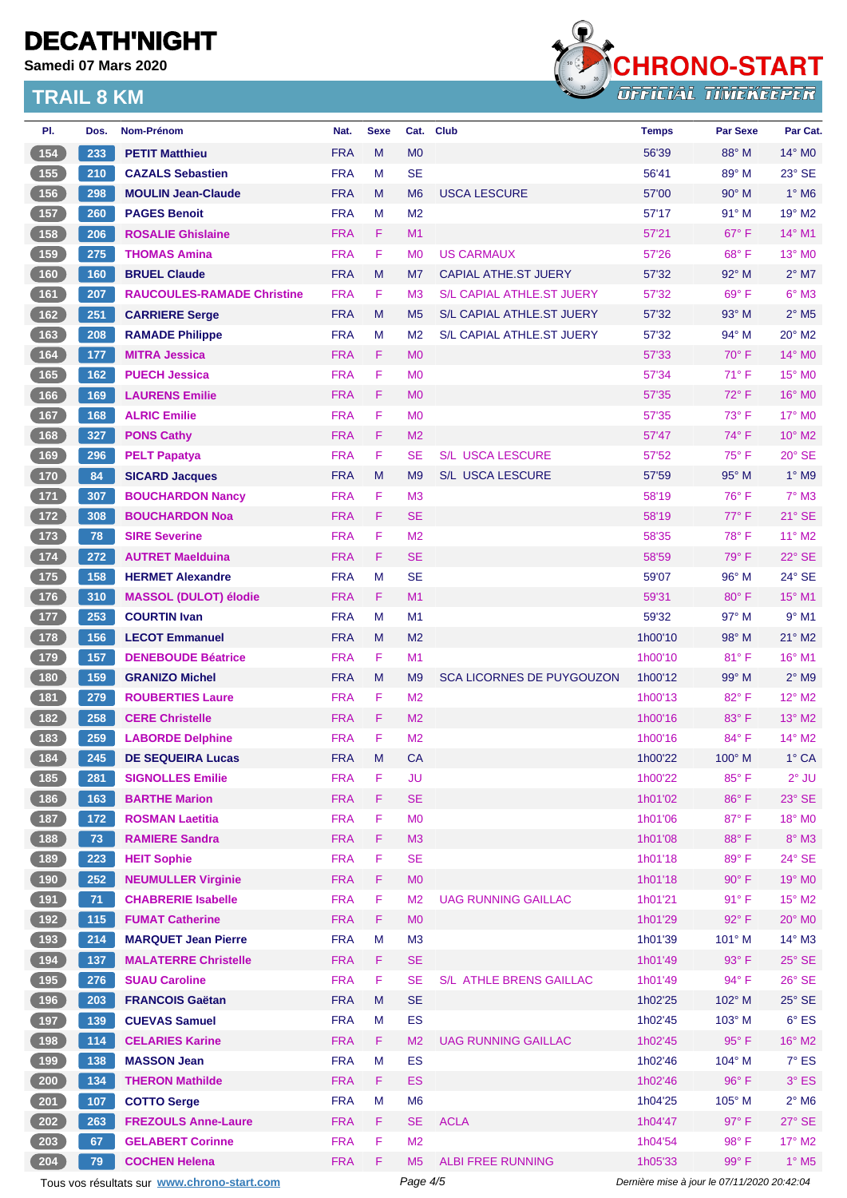**Samedi 07 Mars 2020**



| PI.                                       | Dos. | Nom-Prénom                                  | Nat.       | <b>Sexe</b> | Cat.           | <b>Club</b>                      | <b>Temps</b>                                | <b>Par Sexe</b> | Par Cat.                   |
|-------------------------------------------|------|---------------------------------------------|------------|-------------|----------------|----------------------------------|---------------------------------------------|-----------------|----------------------------|
| 154                                       | 233  | <b>PETIT Matthieu</b>                       | <b>FRA</b> | M           | M <sub>0</sub> |                                  | 56'39                                       | 88° M           | $14^\circ$ MO              |
| 155                                       | 210  | <b>CAZALS Sebastien</b>                     | <b>FRA</b> | м           | <b>SE</b>      |                                  | 56'41                                       | 89° M           | 23° SE                     |
| (156)                                     | 298  | <b>MOULIN Jean-Claude</b>                   | <b>FRA</b> | M           | M <sub>6</sub> | <b>USCA LESCURE</b>              | 57'00                                       | $90^\circ$ M    | $1^\circ$ M <sub>6</sub>   |
| $157$                                     | 260  | <b>PAGES Benoit</b>                         | <b>FRA</b> | м           | M <sub>2</sub> |                                  | 57'17                                       | $91^\circ$ M    | 19° M2                     |
| 158                                       | 206  | <b>ROSALIE Ghislaine</b>                    | <b>FRA</b> | F.          | M1             |                                  | 57'21                                       | $67^\circ$ F    | 14° M1                     |
| (159)                                     | 275  | <b>THOMAS Amina</b>                         | <b>FRA</b> | F           | M <sub>0</sub> | <b>US CARMAUX</b>                | 57'26                                       | $68^{\circ}$ F  | $13^\circ$ MO              |
| (160)                                     | 160  | <b>BRUEL Claude</b>                         | <b>FRA</b> | M           | M7             | <b>CAPIAL ATHE ST JUERY</b>      | 57'32                                       | 92° M           | $2^{\circ}$ M7             |
| 161                                       | 207  | <b>RAUCOULES-RAMADE Christine</b>           | <b>FRA</b> | F           | M <sub>3</sub> | S/L CAPIAL ATHLE.ST JUERY        | 57'32                                       | $69^\circ$ F    | $6°$ M3                    |
| 162                                       | 251  | <b>CARRIERE Serge</b>                       | <b>FRA</b> | M           | M <sub>5</sub> | S/L CAPIAL ATHLE.ST JUERY        | 57'32                                       | $93^\circ$ M    | $2^{\circ}$ M <sub>5</sub> |
| $163$                                     | 208  | <b>RAMADE Philippe</b>                      | <b>FRA</b> | M           | M <sub>2</sub> | S/L CAPIAL ATHLE.ST JUERY        | 57'32                                       | $94^{\circ}$ M  | $20^\circ$ M2              |
| (164)                                     | 177  | <b>MITRA Jessica</b>                        | <b>FRA</b> | F.          | M <sub>0</sub> |                                  | 57'33                                       | $70^\circ$ F    | $14^{\circ}$ MO            |
| 165                                       | 162  | <b>PUECH Jessica</b>                        | <b>FRA</b> | F           | M <sub>0</sub> |                                  | 57'34                                       | $71^\circ$ F    | 15° MO                     |
| (166)                                     | 169  | <b>LAURENS Emilie</b>                       | <b>FRA</b> | F           | M <sub>0</sub> |                                  | 57'35                                       | $72^{\circ}$ F  | $16^\circ$ MO              |
| 167                                       | 168  | <b>ALRIC Emilie</b>                         | <b>FRA</b> | F           | M <sub>0</sub> |                                  | 57'35                                       | $73^\circ$ F    | 17° M0                     |
| 168                                       | 327  | <b>PONS Cathy</b>                           | <b>FRA</b> | F.          | M <sub>2</sub> |                                  | 57'47                                       | 74° F           | 10° M2                     |
| 169                                       | 296  | <b>PELT Papatya</b>                         | <b>FRA</b> | F           | <b>SE</b>      | <b>S/L USCA LESCURE</b>          | 57'52                                       | 75° F           | $20^\circ$ SE              |
| (170)                                     | 84   | <b>SICARD Jacques</b>                       | <b>FRA</b> | M           | M <sub>9</sub> | <b>S/L USCA LESCURE</b>          | 57'59                                       | $95^\circ$ M    | $1^\circ$ M9               |
| $\boxed{171}$                             | 307  | <b>BOUCHARDON Nancy</b>                     | <b>FRA</b> | F           | M <sub>3</sub> |                                  | 58'19                                       | 76° F           | $7^\circ$ M3               |
| 172                                       | 308  | <b>BOUCHARDON Noa</b>                       | <b>FRA</b> | F           | <b>SE</b>      |                                  | 58'19                                       | $77^\circ$ F    | $21^\circ$ SE              |
| $173$                                     | 78   | <b>SIRE Severine</b>                        | <b>FRA</b> | F           | M <sub>2</sub> |                                  | 58'35                                       | $78^{\circ}$ F  | $11^{\circ}$ M2            |
| (174)                                     | 272  | <b>AUTRET Maelduina</b>                     | <b>FRA</b> | F           | <b>SE</b>      |                                  | 58'59                                       | $79^\circ$ F    | 22° SE                     |
| $-175$                                    | 158  | <b>HERMET Alexandre</b>                     | <b>FRA</b> | м           | <b>SE</b>      |                                  | 59'07                                       | 96° M           | 24° SE                     |
| (176)                                     | 310  | <b>MASSOL (DULOT) élodie</b>                | <b>FRA</b> | F.          | M1             |                                  | 59'31                                       | $80^\circ$ F    | 15° M1                     |
| 177                                       | 253  | <b>COURTIN Ivan</b>                         | <b>FRA</b> | м           | M1             |                                  | 59'32                                       | 97° M           | $9°$ M1                    |
| (178)                                     | 156  | <b>LECOT Emmanuel</b>                       | <b>FRA</b> | M           | M <sub>2</sub> |                                  | 1h00'10                                     | 98° M           | $21^{\circ}$ M2            |
| 179                                       | 157  | <b>DENEBOUDE Béatrice</b>                   | <b>FRA</b> | F           | M <sub>1</sub> |                                  | 1h00'10                                     | $81^\circ$ F    | 16° M1                     |
| (180)                                     | 159  | <b>GRANIZO Michel</b>                       | <b>FRA</b> | M           | M <sub>9</sub> | <b>SCA LICORNES DE PUYGOUZON</b> | 1h00'12                                     | 99° M           | $2°$ M9                    |
| (181)                                     | 279  | <b>ROUBERTIES Laure</b>                     | <b>FRA</b> | F           | M <sub>2</sub> |                                  | 1h00'13                                     | $82^{\circ}$ F  | $12^{\circ}$ M2            |
| (182)                                     | 258  | <b>CERE Christelle</b>                      | <b>FRA</b> | F           | M <sub>2</sub> |                                  | 1h00'16                                     | 83° F           | $13^\circ$ M2              |
| 183                                       | 259  | <b>LABORDE Delphine</b>                     | <b>FRA</b> | F           | M <sub>2</sub> |                                  | 1h00'16                                     | $84^{\circ}$ F  | $14^{\circ}$ M2            |
| (184)                                     | 245  | <b>DE SEQUEIRA Lucas</b>                    | <b>FRA</b> | M           | СA             |                                  | 1h00'22                                     | 100° M          | $1^\circ$ CA               |
| (185)                                     | 281  | <b>SIGNOLLES Emilie</b>                     | <b>FRA</b> | F           | <b>JU</b>      |                                  | 1h00'22                                     | 85°F            | $2^{\circ}$ JU             |
| (186)                                     | 163  | <b>BARTHE Marion</b>                        | <b>FRA</b> | F           | <b>SE</b>      |                                  | 1h01'02                                     | 86°F            | 23° SE                     |
| $187$                                     | 172  | <b>ROSMAN Laetitia</b>                      | <b>FRA</b> | F           | M <sub>0</sub> |                                  | 1h01'06                                     | 87°F            | 18° MO                     |
| (188)                                     | 73   | <b>RAMIERE Sandra</b>                       | <b>FRA</b> | F.          | M3             |                                  | 1h01'08                                     | 88°F            | 8° M3                      |
| (189)                                     | 223  | <b>HEIT Sophie</b>                          | <b>FRA</b> | F           | <b>SE</b>      |                                  | 1h01'18                                     | 89°F            | 24° SE                     |
| (190)                                     | 252  | <b>NEUMULLER Virginie</b>                   | <b>FRA</b> | F           | M <sub>0</sub> |                                  | 1h01'18                                     | 90° F           | 19° MO                     |
| 191                                       | 71   | <b>CHABRERIE Isabelle</b>                   | <b>FRA</b> | F           | M <sub>2</sub> | <b>UAG RUNNING GAILLAC</b>       | 1h01'21                                     | 91° F           | 15° M2                     |
| (192)                                     | 115  | <b>FUMAT Catherine</b>                      | <b>FRA</b> | F           | M <sub>0</sub> |                                  | 1h01'29                                     | $92^{\circ}$ F  | 20° MO                     |
| (193)                                     | 214  | <b>MARQUET Jean Pierre</b>                  | <b>FRA</b> | M           | M3             |                                  | 1h01'39                                     | 101° M          | $14^{\circ}$ M3            |
| (194)                                     | 137  | <b>MALATERRE Christelle</b>                 | <b>FRA</b> | F.          | <b>SE</b>      |                                  | 1h01'49                                     | $93^\circ$ F    | $25^\circ$ SE              |
| (195)                                     | 276  | <b>SUAU Caroline</b>                        | <b>FRA</b> | F           | <b>SE</b>      | S/L ATHLE BRENS GAILLAC          | 1h01'49                                     | 94° F           | 26° SE                     |
| (196)                                     | 203  | <b>FRANCOIS Gaëtan</b>                      | <b>FRA</b> | M           | <b>SE</b>      |                                  | 1h02'25                                     | 102° M          | $25^\circ$ SE              |
| $\begin{array}{c} \hline 197 \end{array}$ | 139  | <b>CUEVAS Samuel</b>                        | <b>FRA</b> | М           | <b>ES</b>      |                                  | 1h02'45                                     | 103° M          | $6^{\circ}$ ES             |
| 198                                       | 114  | <b>CELARIES Karine</b>                      | <b>FRA</b> | F           | M <sub>2</sub> | <b>UAG RUNNING GAILLAC</b>       | 1h02'45                                     | 95° F           | 16° M2                     |
| 199                                       | 138  | <b>MASSON Jean</b>                          | <b>FRA</b> | M           | <b>ES</b>      |                                  | 1h02'46                                     | 104° M          | $7^\circ$ ES               |
| $\frac{200}{ }$                           | 134  | <b>THERON Mathilde</b>                      | <b>FRA</b> | F           | ES             |                                  | 1h02'46                                     | 96°F            | $3°$ ES                    |
| 201                                       | 107  | <b>COTTO Serge</b>                          | <b>FRA</b> | М           | M <sub>6</sub> |                                  | 1h04'25                                     | 105° M          | $2^{\circ}$ M6             |
| $\left( \right. 202 \right)$              | 263  | <b>FREZOULS Anne-Laure</b>                  | <b>FRA</b> | F           | <b>SE</b>      | <b>ACLA</b>                      | 1h04'47                                     | 97° F           | 27° SE                     |
| 203                                       | 67   | <b>GELABERT Corinne</b>                     | <b>FRA</b> | F           | M <sub>2</sub> |                                  | 1h04'54                                     | 98°F            | 17° M2                     |
| 204                                       | 79   |                                             | <b>FRA</b> | F           | M <sub>5</sub> | <b>ALBI FREE RUNNING</b>         | 1h05'33                                     | 99° F           | $1^\circ$ M5               |
|                                           |      | <b>COCHEN Helena</b>                        |            |             |                |                                  |                                             |                 |                            |
|                                           |      | Tous vos résultats sur www.chrono-start.com |            |             | Page 4/5       |                                  | Dernière mise à jour le 07/11/2020 20:42:04 |                 |                            |